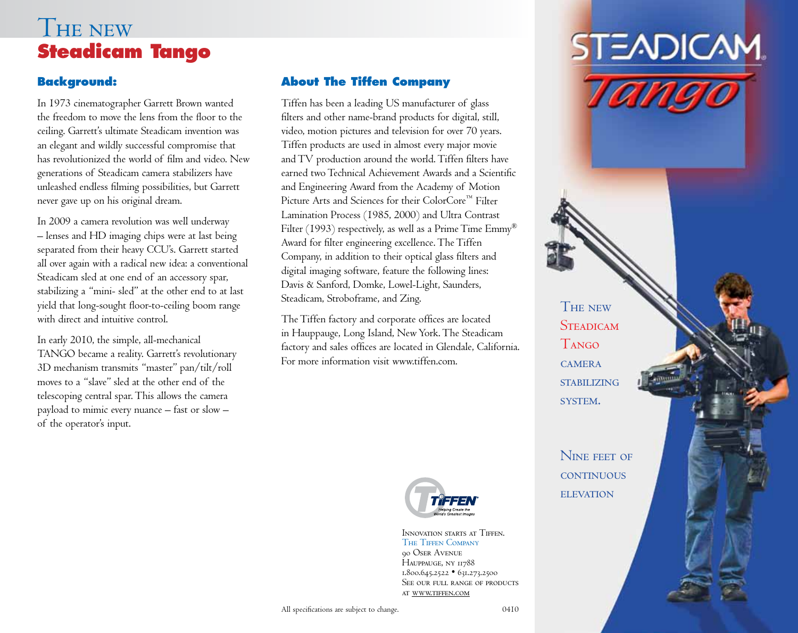# THE NEW **Steadicam Tango**

#### **Background:**

In 1973 cinematographer Garrett Brown wanted the freedom to move the lens from the floor to the ceiling. Garrett's ultimate Steadicam invention was an elegant and wildly successful compromise that has revolutionized the world of film and video. New generations of Steadicam camera stabilizers have unleashed endless filming possibilities, but Garrett never gave up on his original dream.

In 2009 a camera revolution was well underway – lenses and HD imaging chips were at last being separated from their heavy CCU's. Garrett started all over again with a radical new idea: a conventional Steadicam sled at one end of an accessory spar, stabilizing a "mini- sled" at the other end to at last yield that long-sought floor-to-ceiling boom range with direct and intuitive control.

In early 2010, the simple, all-mechanical TANGO became a reality. Garrett's revolutionary 3D mechanism transmits "master" pan/tilt/roll moves to a "slave" sled at the other end of the telescoping central spar.This allows the camera payload to mimic every nuance – fast or slow – of the operator's input.

#### **About The Tiffen Company**

Tiffen has been a leading US manufacturer of glass filters and other name-brand products for digital, still, video, motion pictures and television for over 70 years. Tiffen products are used in almost every major movie and TV production around the world. Tiffen filters have earned two Technical Achievement Awards and a Scientific and Engineering Award from the Academy of Motion Picture Arts and Sciences for their ColorCore™ Filter Lamination Process (1985, 2000) and Ultra Contrast Filter (1993) respectively, as well as a Prime Time Emmy<sup>®</sup> Award for filter engineering excellence. The Tiffen Company, in addition to their optical glass filters and digital imaging software, feature the following lines: Davis & Sanford, Domke, Lowel-Light, Saunders, Steadicam, Stroboframe, and Zing.

The Tiffen factory and corporate offices are located in Hauppauge, Long Island, New York. The Steadicam factory and sales offices are located in Glendale, California. For more information visit www.tiffen.com.



INNOVATION STARTS AT TIFFEN. THE TIFFEN COMPANY **QO OSER AVENUE** HAUPPAUGE, NY 11788 1.800.645.2522 • 631.273.2500 SEE OUR FULL RANGE OF PRODUCTS AT WWW.TIFFEN.COM



**THE NEW STEADICAM** Tango  $CAMFRA$ **STABILIZING** SYSTEM.

N<sub>INE</sub> FEET OF **CONTINUOUS ELEVATION**